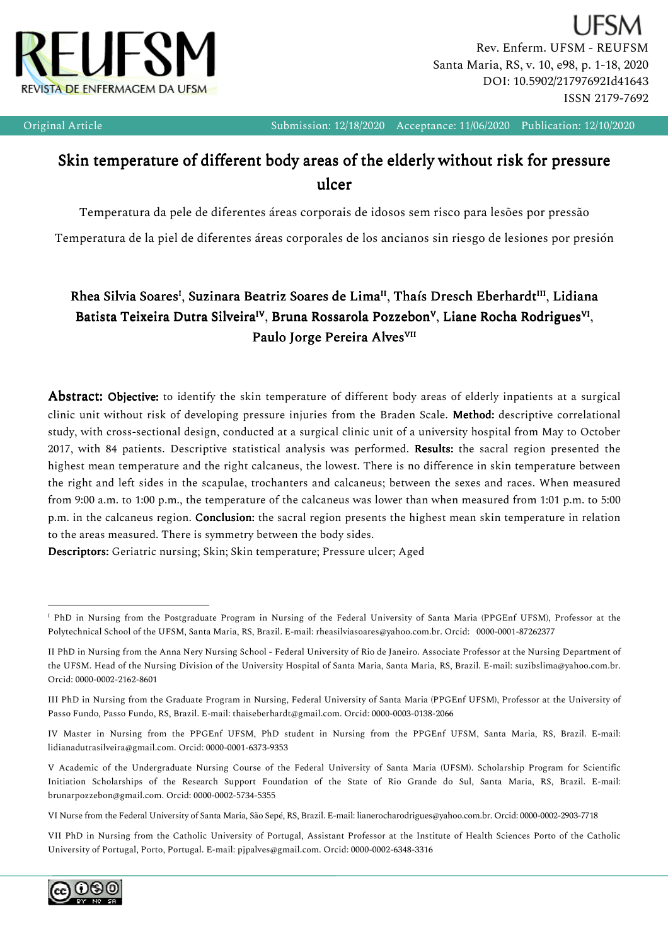

Rev. Enferm. UFSM - REUFSM Santa Maria, RS, v. 10, e98, p. 1-18, 2020 DOI: 10.5902/21797692Id41643 ISSN 2179-7692

I

Original Article Submission: 12/18/2020 Acceptance: 11/06/2020 Publication: 12/10/2020

# Skin temperature of different body areas of the elderly without risk for pressure ulcer

Temperatura da pele de diferentes áreas corporais de idosos sem risco para lesões por pressão

Temperatura de la piel de diferentes áreas corporales de los ancianos sin riesgo de lesiones por presión

# Rhea Silvia Soares<sup>I</sup>, Suzinara Beatriz Soares de Lima<sup>II</sup>, Thaís Dresch Eberhardt<sup>III</sup>, Lidiana Batista Teixeira Dutra Silveira $^{\text{\tiny{IV}}}$ , Bruna Rossarola Pozzebon $^{\text{\tiny{V}}}$ , Liane Rocha Rodrigues $^{\text{\tiny{VI}}}$ , Paulo Jorge Pereira Alves<sup>VII</sup>

Abstract: Objective: to identify the skin temperature of different body areas of elderly inpatients at a surgical clinic unit without risk of developing pressure injuries from the Braden Scale. Method: descriptive correlational study, with cross-sectional design, conducted at a surgical clinic unit of a university hospital from May to October 2017, with 84 patients. Descriptive statistical analysis was performed. Results: the sacral region presented the highest mean temperature and the right calcaneus, the lowest. There is no difference in skin temperature between the right and left sides in the scapulae, trochanters and calcaneus; between the sexes and races.When measured from 9:00 a.m. to 1:00 p.m., the temperature of the calcaneus was lower than when measured from 1:01 p.m. to 5:00 p.m. in the calcaneus region. Conclusion: the sacral region presents the highest mean skin temperature in relation to the areas measured. There is symmetry between the body sides.

Descriptors: Geriatric nursing; Skin; Skin temperature; Pressure ulcer; Aged

VII PhD in Nursing from the Catholic University of Portugal, Assistant Professor at the Institute of Health Sciences Porto of the Catholic University of Portugal, Porto, Portugal. E-mail: pjpalves@gmail.com. Orcid: 0000-0002-6348-3316



 $\overline{a}$ 

<sup>&</sup>lt;sup>I</sup> PhD in Nursing from the Postgraduate Program in Nursing of the Federal University of Santa Maria (PPGEnf UFSM), Professor at the Polytechnical School of the UFSM, Santa Maria, RS, Brazil. E-mail: rheasilviasoares@yahoo.com.br. Orcid: 0000-0001-87262377

II PhD in Nursing from the Anna Nery Nursing School - Federal University of Rio de Janeiro. Associate Professor at the Nursing Department of the UFSM. Head of the Nursing Division of the University Hospital of Santa Maria, Santa Maria, RS, Brazil. E-mail: suzibslima@yahoo.com.br. Orcid: 0000-0002-2162-8601

III PhD in Nursing from the Graduate Program in Nursing, Federal University of Santa Maria (PPGEnf UFSM), Professor at the University of Passo Fundo, Passo Fundo, RS, Brazil. E-mail: thaiseberhardt@gmail.com. Orcid: 0000-0003-0138-2066

IV Master in Nursing from the PPGEnf UFSM, PhD student in Nursing from the PPGEnf UFSM, Santa Maria, RS, Brazil. E-mail: lidianadutrasilveira@gmail.com. Orcid: 0000-0001-6373-9353

V Academic of the Undergraduate Nursing Course of the Federal University of Santa Maria (UFSM). Scholarship Program for Scientific Initiation Scholarships of the Research Support Foundation of the State of Rio Grande do Sul, Santa Maria, RS, Brazil. E-mail: brunarpozzebon@gmail.com. Orcid: 0000-0002-5734-5355

VI Nurse from the Federal University of Santa Maria, São Sepé, RS, Brazil. E-mail: lianerocharodrigues@yahoo.com.br. Orcid: 0000-0002-2903-7718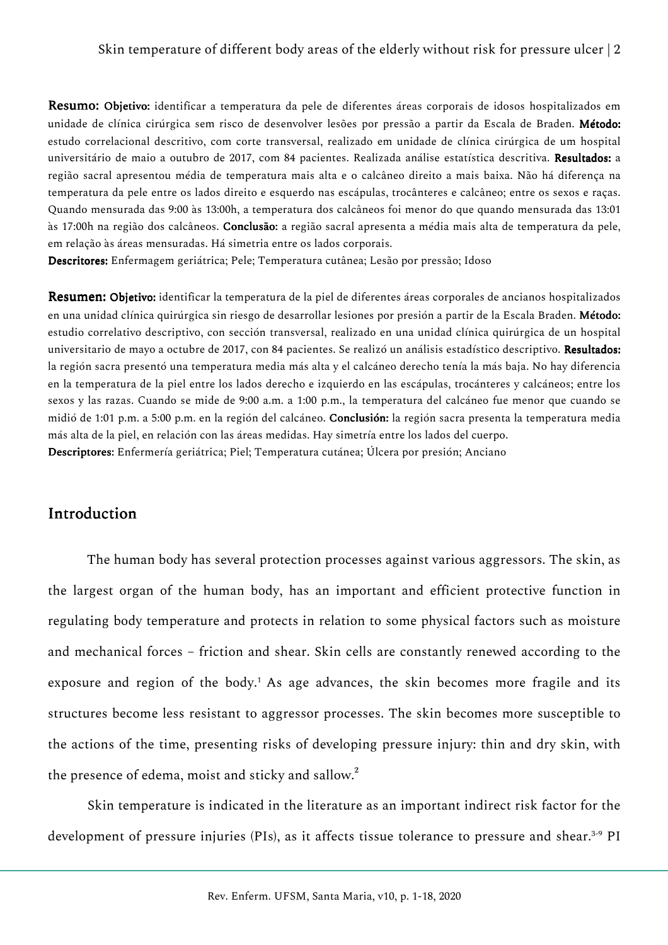Resumo: Objetivo: identificar a temperatura da pele de diferentes áreas corporais de idosos hospitalizados em unidade de clínica cirúrgica sem risco de desenvolver lesões por pressão a partir da Escala de Braden. Método: estudo correlacional descritivo, com corte transversal, realizado em unidade de clínica cirúrgica de um hospital universitário de maio a outubro de 2017, com 84 pacientes. Realizada análise estatística descritiva. Resultados: a região sacral apresentou média de temperatura mais alta e o calcâneo direito a mais baixa. Não há diferença na temperatura da pele entre os lados direito e esquerdo nas escápulas, trocânteres e calcâneo; entre os sexos e raças. Quando mensurada das 9:00 às 13:00h, a temperatura dos calcâneos foi menor do que quando mensurada das 13:01 às 17:00h na região dos calcâneos. Conclusão: a região sacral apresenta a média mais alta de temperatura da pele, em relação às áreas mensuradas. Há simetria entre os lados corporais.

Descritores: Enfermagem geriátrica; Pele; Temperatura cutânea; Lesão por pressão; Idoso

Resumen: Objetivo: identificar la temperatura de la piel de diferentes áreas corporales de ancianos hospitalizados en una unidad clínica quirúrgica sin riesgo de desarrollar lesiones por presión a partir de la Escala Braden. Método: estudio correlativo descriptivo, con sección transversal, realizado en una unidad clínica quirúrgica de un hospital universitario de mayo a octubre de 2017, con 84 pacientes. Se realizó un análisis estadístico descriptivo. Resultados: la región sacra presentó una temperatura media más alta y el calcáneo derecho tenía la más baja. No hay diferencia en la temperatura de la piel entre los lados derecho e izquierdo en las escápulas, trocánteres y calcáneos; entre los sexos y las razas. Cuando se mide de 9:00 a.m. a 1:00 p.m., la temperatura del calcáneo fue menor que cuando se midió de 1:01 p.m. a 5:00 p.m. en la región del calcáneo. Conclusión: la región sacra presenta la temperatura media más alta de la piel, en relación con las áreas medidas. Hay simetría entre los lados del cuerpo. Descriptores: Enfermería geriátrica; Piel; Temperatura cutánea; Úlcera por presión; Anciano

# **Introduction**

The human body has several protection processes against various aggressors. The skin, as the largest organ of the human body, has an important and efficient protective function in regulating body temperature and protects in relation to some physical factors such as moisture and mechanical forces – friction and shear. Skin cells are constantly renewed according to the exposure and region of the body.<sup>1</sup> As age advances, the skin becomes more fragile and its structures become less resistant to aggressor processes. The skin becomes more susceptible to the actions of the time, presenting risks of developing pressure injury: thin and dry skin, with the presence of edema, moist and sticky and sallow.<sup>2</sup>

Skin temperature is indicated in the literature as an important indirect risk factor for the development of pressure injuries (PIs), as it affects tissue tolerance to pressure and shear.<sup>3-9</sup> PI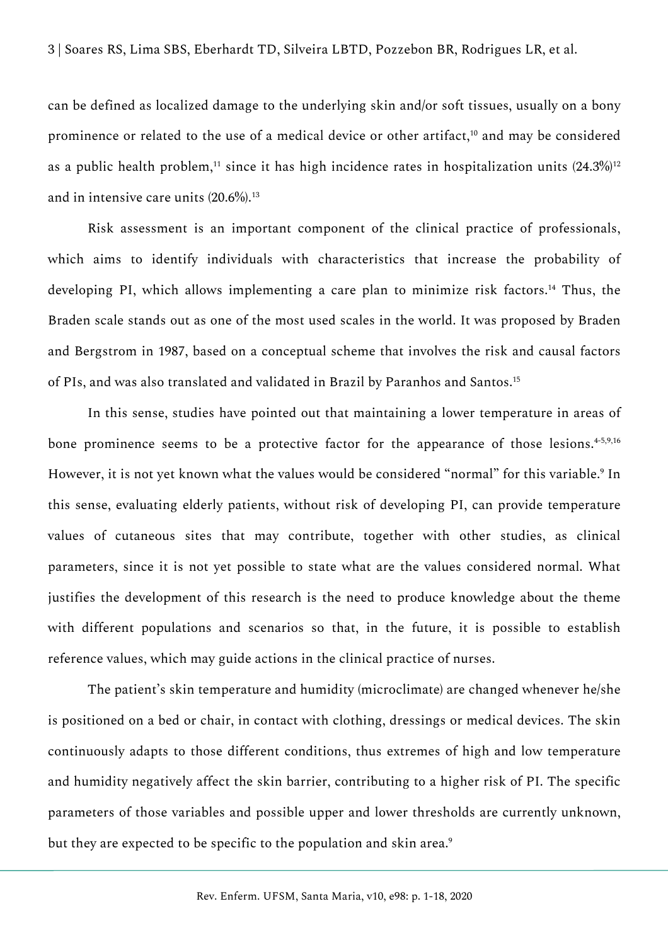can be defined as localized damage to the underlying skin and/or soft tissues, usually on a bony prominence or related to the use of a medical device or other artifact,<sup>10</sup> and may be considered as a public health problem,<sup>11</sup> since it has high incidence rates in hospitalization units  $(24.3\%)^{12}$ and in intensive care units (20.6%).<sup>13</sup>

Risk assessment is an important component of the clinical practice of professionals, which aims to identify individuals with characteristics that increase the probability of developing PI, which allows implementing a care plan to minimize risk factors.<sup>14</sup> Thus, the Braden scale stands out as one of the most used scales in the world. It was proposed by Braden and Bergstrom in 1987, based on a conceptual scheme that involves the risk and causal factors of PIs, and was also translated and validated in Brazil by Paranhos and Santos.<sup>15</sup>

In this sense, studies have pointed out that maintaining a lower temperature in areas of bone prominence seems to be a protective factor for the appearance of those lesions.<sup>4-5,9,16</sup> However, it is not yet known what the values would be considered "normal" for this variable.<sup>9</sup> In this sense, evaluating elderly patients, without risk of developing PI, can provide temperature values of cutaneous sites that may contribute, together with other studies, as clinical parameters, since it is not yet possible to state what are the values considered normal. What justifies the development of this research is the need to produce knowledge about the theme with different populations and scenarios so that, in the future, it is possible to establish reference values, which may guide actions in the clinical practice of nurses.

The patient's skin temperature and humidity (microclimate) are changed whenever he/she is positioned on a bed or chair, in contact with clothing, dressings or medical devices. The skin continuously adapts to those different conditions, thus extremes of high and low temperature and humidity negatively affect the skin barrier, contributing to a higher risk of PI. The specific parameters of those variables and possible upper and lower thresholds are currently unknown, but they are expected to be specific to the population and skin area.<sup>9</sup>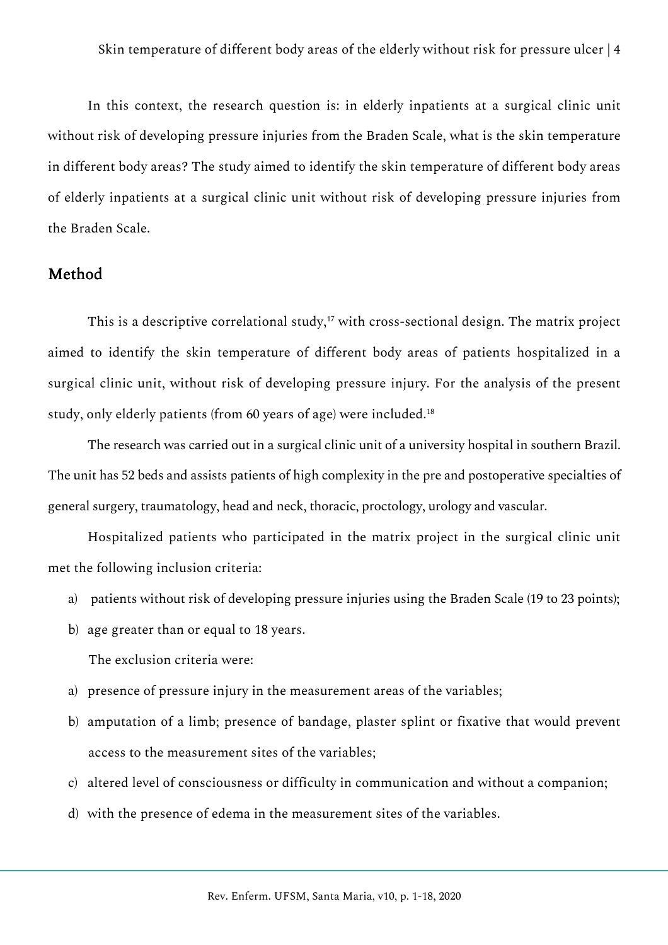In this context, the research question is: in elderly inpatients at a surgical clinic unit without risk of developing pressure injuries from the Braden Scale, what is the skin temperature in different body areas? The study aimed to identify the skin temperature of different body areas of elderly inpatients at a surgical clinic unit without risk of developing pressure injuries from the Braden Scale.

## Method

This is a descriptive correlational study,<sup>17</sup> with cross-sectional design. The matrix project aimed to identify the skin temperature of different body areas of patients hospitalized in a surgical clinic unit, without risk of developing pressure injury. For the analysis of the present study, only elderly patients (from 60 years of age) were included.<sup>18</sup>

The research was carried out in a surgical clinic unit of a university hospital in southern Brazil. The unit has 52 beds and assists patients of high complexity in the pre and postoperative specialties of general surgery, traumatology, head and neck, thoracic, proctology, urology and vascular.

Hospitalized patients who participated in the matrix project in the surgical clinic unit met the following inclusion criteria:

- a) patients without risk of developing pressure injuries using the Braden Scale (19 to 23 points);
- b) age greater than or equal to 18 years.

The exclusion criteria were:

- a) presence of pressure injury in the measurement areas of the variables;
- b) amputation of a limb; presence of bandage, plaster splint or fixative that would prevent access to the measurement sites of the variables;
- c) altered level of consciousness or difficulty in communication and without a companion;
- d) with the presence of edema in the measurement sites of the variables.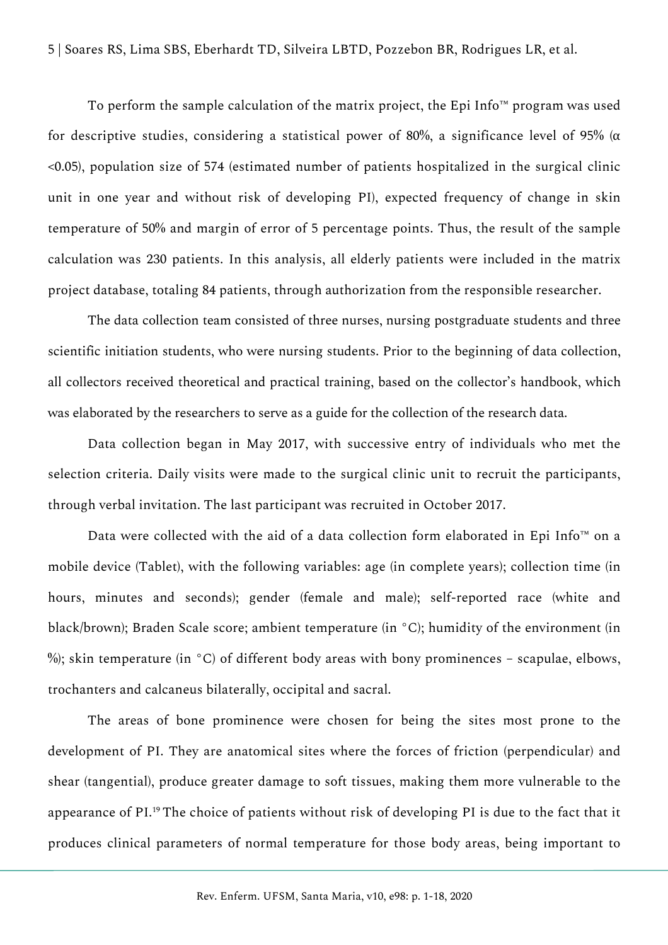To perform the sample calculation of the matrix project, the Epi Info™ program was used for descriptive studies, considering a statistical power of 80%, a significance level of 95% ( $\alpha$ <0.05), population size of 574 (estimated number of patients hospitalized in the surgical clinic unit in one year and without risk of developing PI), expected frequency of change in skin temperature of 50% and margin of error of 5 percentage points. Thus, the result of the sample calculation was 230 patients. In this analysis, all elderly patients were included in the matrix project database, totaling 84 patients, through authorization from the responsible researcher.

The data collection team consisted of three nurses, nursing postgraduate students and three scientific initiation students, who were nursing students. Prior to the beginning of data collection, all collectors received theoretical and practical training, based on the collector's handbook, which was elaborated by the researchers to serve as a guide for the collection of the research data.

Data collection began in May 2017, with successive entry of individuals who met the selection criteria. Daily visits were made to the surgical clinic unit to recruit the participants, through verbal invitation. The last participant was recruited in October 2017.

Data were collected with the aid of a data collection form elaborated in Epi Info™ on a mobile device (Tablet), with the following variables: age (in complete years); collection time (in hours, minutes and seconds); gender (female and male); self-reported race (white and black/brown); Braden Scale score; ambient temperature (in °C); humidity of the environment (in %); skin temperature (in  $\degree$ C) of different body areas with bony prominences – scapulae, elbows, trochanters and calcaneus bilaterally, occipital and sacral.

The areas of bone prominence were chosen for being the sites most prone to the development of PI. They are anatomical sites where the forces of friction (perpendicular) and shear (tangential), produce greater damage to soft tissues, making them more vulnerable to the appearance of PI.<sup>19</sup> The choice of patients without risk of developing PI is due to the fact that it produces clinical parameters of normal temperature for those body areas, being important to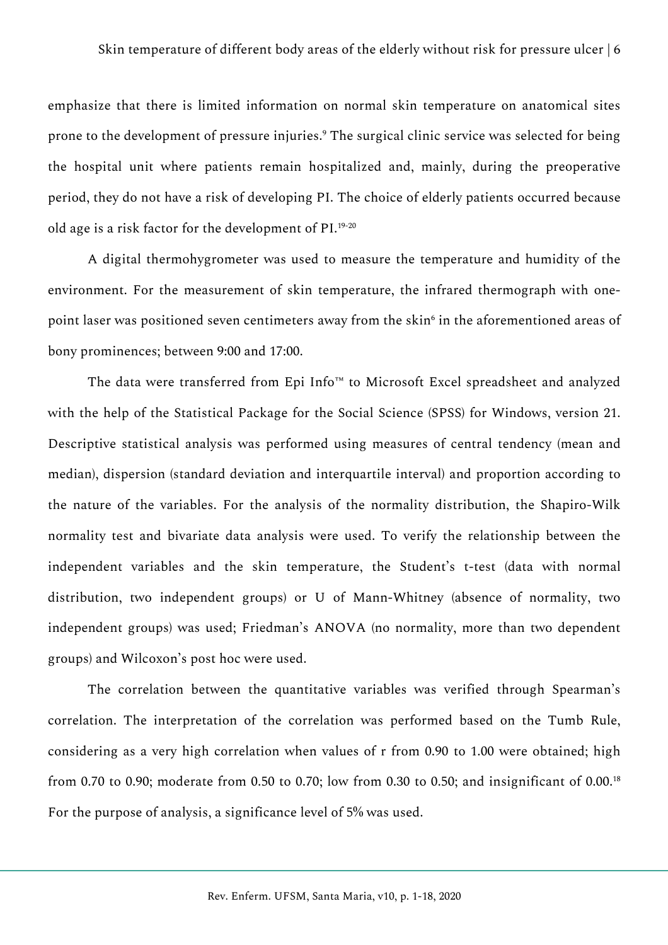emphasize that there is limited information on normal skin temperature on anatomical sites prone to the development of pressure injuries.<sup>9</sup> The surgical clinic service was selected for being the hospital unit where patients remain hospitalized and, mainly, during the preoperative period, they do not have a risk of developing PI. The choice of elderly patients occurred because old age is a risk factor for the development of PI.19-20

A digital thermohygrometer was used to measure the temperature and humidity of the environment. For the measurement of skin temperature, the infrared thermograph with onepoint laser was positioned seven centimeters away from the skin $\mathfrak s$  in the aforementioned areas of bony prominences; between 9:00 and 17:00.

The data were transferred from Epi Info™ to Microsoft Excel spreadsheet and analyzed with the help of the Statistical Package for the Social Science (SPSS) for Windows, version 21. Descriptive statistical analysis was performed using measures of central tendency (mean and median), dispersion (standard deviation and interquartile interval) and proportion according to the nature of the variables. For the analysis of the normality distribution, the Shapiro-Wilk normality test and bivariate data analysis were used. To verify the relationship between the independent variables and the skin temperature, the Student's t-test (data with normal distribution, two independent groups) or U of Mann-Whitney (absence of normality, two independent groups) was used; Friedman's ANOVA (no normality, more than two dependent groups) and Wilcoxon's post hoc were used.

The correlation between the quantitative variables was verified through Spearman's correlation. The interpretation of the correlation was performed based on the Tumb Rule, considering as a very high correlation when values of r from 0.90 to 1.00 were obtained; high from 0.70 to 0.90; moderate from 0.50 to 0.70; low from 0.30 to 0.50; and insignificant of 0.00.<sup>18</sup> For the purpose of analysis, a significance level of 5% was used.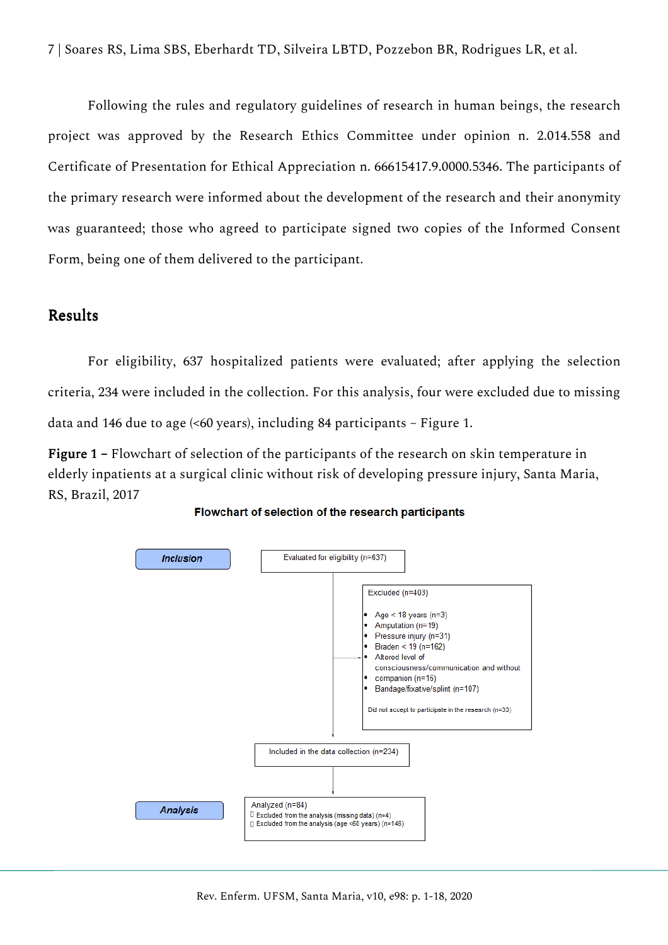7 | Soares RS, Lima SBS, Eberhardt TD, Silveira LBTD, Pozzebon BR, Rodrigues LR, et al.

Following the rules and regulatory guidelines of research in human beings, the research project was approved by the Research Ethics Committee under opinion n. 2.014.558 and Certificate of Presentation for Ethical Appreciation n. 66615417.9.0000.5346. The participants of the primary research were informed about the development of the research and their anonymity was guaranteed; those who agreed to participate signed two copies of the Informed Consent Form, being one of them delivered to the participant.

# **Results**

For eligibility, 637 hospitalized patients were evaluated; after applying the selection criteria, 234 were included in the collection. For this analysis, four were excluded due to missing data and 146 due to age (<60 years), including 84 participants – Figure 1.

Figure 1 – Flowchart of selection of the participants of the research on skin temperature in elderly inpatients at a surgical clinic without risk of developing pressure injury, Santa Maria, RS, Brazil, 2017



Flowchart of selection of the research participants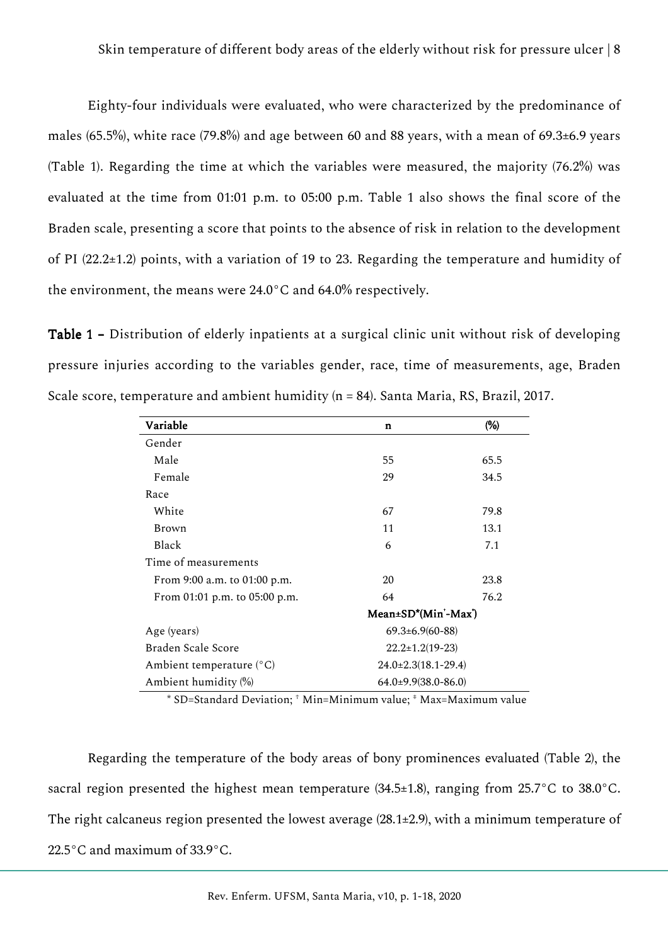Eighty-four individuals were evaluated, who were characterized by the predominance of males (65.5%), white race (79.8%) and age between 60 and 88 years, with a mean of 69.3±6.9 years (Table 1). Regarding the time at which the variables were measured, the majority (76.2%) was evaluated at the time from 01:01 p.m. to 05:00 p.m. Table 1 also shows the final score of the Braden scale, presenting a score that points to the absence of risk in relation to the development of PI (22.2±1.2) points, with a variation of 19 to 23. Regarding the temperature and humidity of the environment, the means were 24.0°C and 64.0% respectively.

Table 1 – Distribution of elderly inpatients at a surgical clinic unit without risk of developing pressure injuries according to the variables gender, race, time of measurements, age, Braden Scale score, temperature and ambient humidity (n = 84). Santa Maria, RS, Brazil, 2017.

| Variable                      | $\mathbf n$                 | (%)  |  |
|-------------------------------|-----------------------------|------|--|
| Gender                        |                             |      |  |
| Male                          | 55                          | 65.5 |  |
| Female                        | 29                          | 34.5 |  |
| Race                          |                             |      |  |
| White                         | 67                          | 79.8 |  |
| Brown                         | 11                          | 13.1 |  |
| Black                         | 6                           | 7.1  |  |
| Time of measurements          |                             |      |  |
| From 9:00 a.m. to 01:00 p.m.  | 20                          | 23.8 |  |
| From 01:01 p.m. to 05:00 p.m. | 64                          | 76.2 |  |
|                               | Mean±SD*(Min'-Max')         |      |  |
| Age (years)                   | $69.3 \pm 6.9(60 - 88)$     |      |  |
| Braden Scale Score            | $22.2 \pm 1.2(19 - 23)$     |      |  |
| Ambient temperature (°C)      | $24.0 \pm 2.3(18.1 - 29.4)$ |      |  |
| Ambient humidity (%)          | $64.0\pm9.9(38.0-86.0)$     |      |  |

\* SD=Standard Deviation; † Min=Minimum value; ‡ Max=Maximum value

Regarding the temperature of the body areas of bony prominences evaluated (Table 2), the sacral region presented the highest mean temperature (34.5±1.8), ranging from 25.7°C to 38.0°C. The right calcaneus region presented the lowest average (28.1±2.9), with a minimum temperature of 22.5°C and maximum of 33.9°C.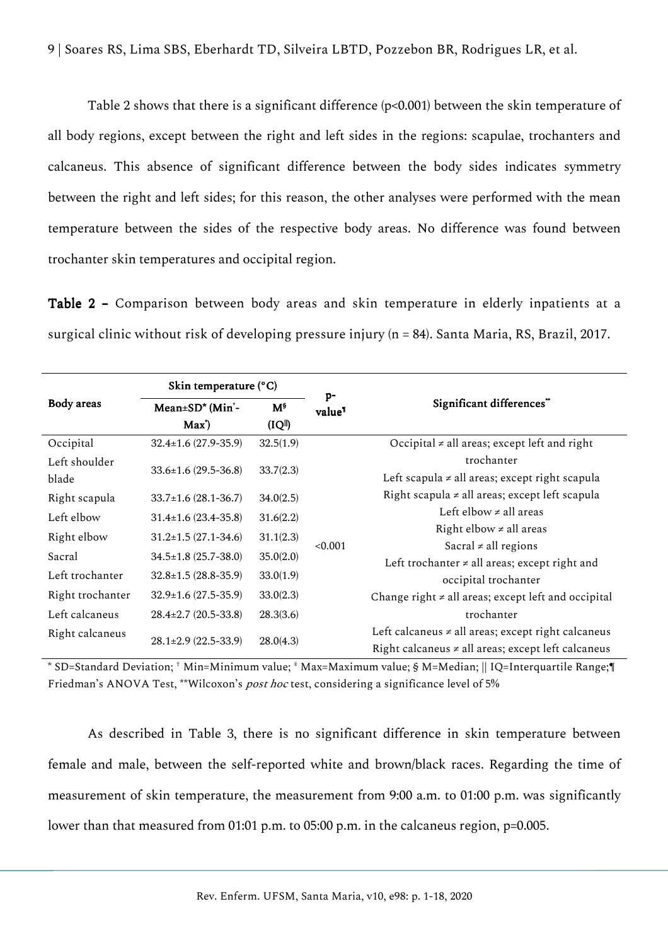Table 2 shows that there is a significant difference (p<0.001) between the skin temperature of all body regions, except between the right and left sides in the regions: scapulae, trochanters and calcaneus. This absence of significant difference between the body sides indicates symmetry between the right and left sides; for this reason, the other analyses were performed with the mean temperature between the sides of the respective body areas. No difference was found between trochanter skin temperatures and occipital region.

Table 2 – Comparison between body areas and skin temperature in elderly inpatients at a surgical clinic without risk of developing pressure injury (n = 84). Santa Maria, RS, Brazil, 2017.

|                  | Skin temperature (°C)                           |                         | $p-$               |                                                                                                                    |  |  |
|------------------|-------------------------------------------------|-------------------------|--------------------|--------------------------------------------------------------------------------------------------------------------|--|--|
| Body areas       | Mean±SD <sup>*</sup> (Min'-<br>Max <sup>*</sup> | $M^{\$}$<br>$(IQ^{  })$ | value <sup>1</sup> | Significant differences"                                                                                           |  |  |
| Occipital        | $32.4 \pm 1.6$ (27.9-35.9)                      | 32.5(1.9)               |                    | Occipital $\neq$ all areas; except left and right                                                                  |  |  |
| Left shoulder    |                                                 |                         |                    | trochanter                                                                                                         |  |  |
| blade            | $33.6 \pm 1.6$ (29.5-36.8)                      | 33.7(2.3)               |                    | Left scapula $\neq$ all areas; except right scapula                                                                |  |  |
| Right scapula    | $33.7 \pm 1.6$ (28.1-36.7)                      | 34.0(2.5)               |                    | Right scapula $\neq$ all areas; except left scapula                                                                |  |  |
| Left elbow       | $31.4 \pm 1.6$ (23.4-35.8)                      | 31.6(2.2)               |                    | Left elbow $\neq$ all areas                                                                                        |  |  |
| Right elbow      | $31.2 \pm 1.5 (27.1 - 34.6)$                    | 31.1(2.3)               |                    | Right elbow $\neq$ all areas                                                                                       |  |  |
| Sacral           | $34.5 \pm 1.8$ (25.7-38.0)                      | 35.0(2.0)               | < 0.001            | Sacral $\neq$ all regions                                                                                          |  |  |
|                  |                                                 |                         |                    | Left trochanter $\neq$ all areas; except right and                                                                 |  |  |
| Left trochanter  | $32.8 \pm 1.5 (28.8 - 35.9)$                    | 33.0(1.9)               |                    | occipital trochanter                                                                                               |  |  |
| Right trochanter | $32.9 \pm 1.6$ (27.5-35.9)                      | 33.0(2.3)               |                    | Change right $\neq$ all areas; except left and occipital                                                           |  |  |
| Left calcaneus   | $28.4 \pm 2.7$ (20.5-33.8)                      | 28.3(3.6)               |                    | trochanter                                                                                                         |  |  |
| Right calcaneus  | $28.1 \pm 2.9$ (22.5-33.9)                      | 28.0(4.3)               |                    | Left calcaneus $\neq$ all areas; except right calcaneus<br>Right calcaneus $\neq$ all areas; except left calcaneus |  |  |

\* SD=Standard Deviation; † Min=Minimum value; ‡ Max=Maximum value; § M=Median; || IQ=Interquartile Range;¶ Friedman's ANOVA Test, \*\*Wilcoxon's *post hoc* test, considering a significance level of 5%

As described in Table 3, there is no significant difference in skin temperature between female and male, between the self-reported white and brown/black races. Regarding the time of measurement of skin temperature, the measurement from 9:00 a.m. to 01:00 p.m. was significantly lower than that measured from 01:01 p.m. to 05:00 p.m. in the calcaneus region, p=0.005.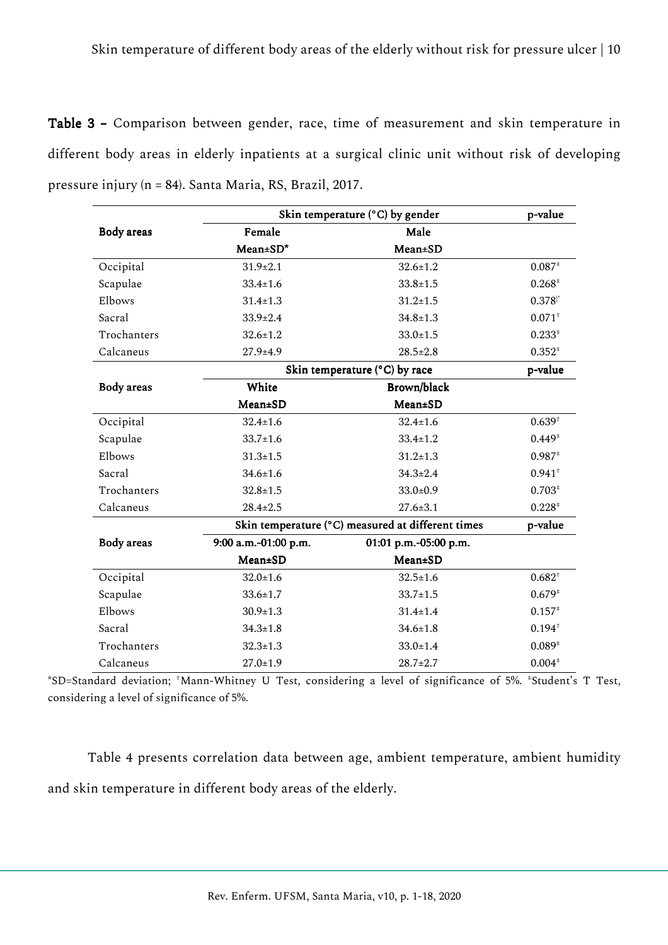Table 3 – Comparison between gender, race, time of measurement and skin temperature in different body areas in elderly inpatients at a surgical clinic unit without risk of developing pressure injury (n = 84). Santa Maria, RS, Brazil, 2017.

|             | Skin temperature (°C) by gender                   | p-value                    |                      |  |
|-------------|---------------------------------------------------|----------------------------|----------------------|--|
| Body areas  | Female                                            | Male                       |                      |  |
|             | $Mean \pm SD^*$                                   | <b>Mean±SD</b>             |                      |  |
| Occipital   | $31.9 \pm 2.1$                                    | $32.6 \pm 1.2$             | $0.087*$             |  |
| Scapulae    | $33.4 \pm 1.6$                                    | $33.8 \pm 1.5$             | $0.268*$             |  |
| Elbows      | $31.4 \pm 1.3$                                    | $31.2 \pm 1.5$             | $0.378$ <sup>*</sup> |  |
| Sacral      | $33.9 \pm 2.4$                                    | $34.8 \pm 1.3$             | $0.071^{+}$          |  |
| Trochanters | $32.6 \pm 1.2$                                    | $33.0 \pm 1.5$             | $0.233*$             |  |
| Calcaneus   | $27.9 + 4.9$                                      | $28.5 \pm 2.8$             | $0.352*$             |  |
|             | Skin temperature (°C) by race                     |                            |                      |  |
| Body areas  | White                                             | Brown/black                |                      |  |
|             | Mean±SD                                           | Mean±SD                    |                      |  |
| Occipital   | $32.4 \pm 1.6$                                    | $32.4 \pm 1.6$             | $0.639^{+}$          |  |
| Scapulae    | $33.7 \pm 1.6$                                    | $33.4 \pm 1.2$             | $0.449*$             |  |
| Elbows      | $31.3 \pm 1.5$                                    | $31.2 \pm 1.3$             | $0.987*$             |  |
| Sacral      | $34.6 \pm 1.6$                                    | $34.3 \pm 2.4$             | $0.941^{+}$          |  |
| Trochanters | $32.8 \pm 1.5$                                    | $33.0 \pm 0.9$             | $0.703*$             |  |
| Calcaneus   | $28.4 \pm 2.5$                                    | $27.6 \pm 3.1$             | $0.228*$             |  |
|             | Skin temperature (°C) measured at different times |                            |                      |  |
| Body areas  | 9:00 a.m.-01:00 p.m.                              | 01:01 p.m.-05:00 p.m.      |                      |  |
|             | Mean±SD                                           | <b>Mean±SD</b>             |                      |  |
| Occipital   | $32.0 \pm 1.6$                                    | $32.5 \pm 1.6$             | $0.682^{+}$          |  |
| Scapulae    | $33.6 \pm 1.7$                                    | $33.7 \pm 1.5$             | $0.679*$             |  |
| Elbows      | $30.9 \pm 1.3$                                    | $31.4 \pm 1.4$             | $0.157*$             |  |
| Sacral      | $34.3 \pm 1.8$                                    | $34.6 \pm 1.8$             | $0.194^{+}$          |  |
| Trochanters | $32.3 \pm 1.3$                                    | $0.089*$<br>$33.0 \pm 1.4$ |                      |  |
| Calcaneus   | $27.0 \pm 1.9$                                    | $0.004*$<br>$28.7 \pm 2.7$ |                      |  |

\*SD=Standard deviation; †Mann-Whitney U Test, considering a level of significance of 5%. ‡Student's T Test, considering a level of significance of 5%.

Table 4 presents correlation data between age, ambient temperature, ambient humidity and skin temperature in different body areas of the elderly.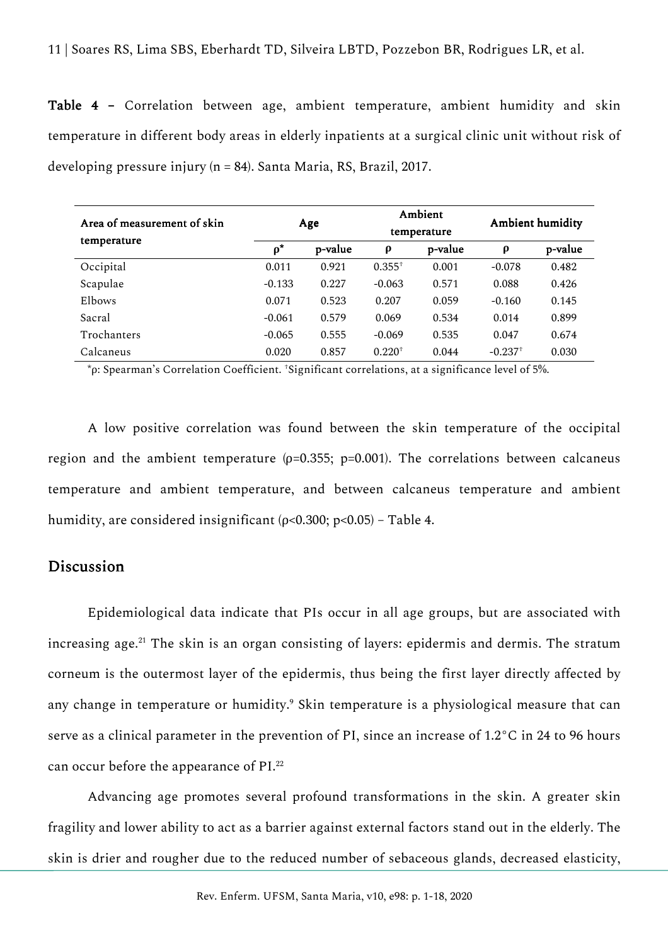Table 4 – Correlation between age, ambient temperature, ambient humidity and skin temperature in different body areas in elderly inpatients at a surgical clinic unit without risk of developing pressure injury (n = 84). Santa Maria, RS, Brazil, 2017.

| Area of measurement of skin | Age      |         | Ambient<br>temperature |         | <b>Ambient humidity</b> |         |
|-----------------------------|----------|---------|------------------------|---------|-------------------------|---------|
| temperature                 | $\rho^*$ | p-value | ρ                      | p-value | $\rho$                  | p-value |
| Occipital                   | 0.011    | 0.921   | $0.355^{+}$            | 0.001   | $-0.078$                | 0.482   |
| Scapulae                    | $-0.133$ | 0.227   | $-0.063$               | 0.571   | 0.088                   | 0.426   |
| Elbows                      | 0.071    | 0.523   | 0.207                  | 0.059   | $-0.160$                | 0.145   |
| Sacral                      | $-0.061$ | 0.579   | 0.069                  | 0.534   | 0.014                   | 0.899   |
| <b>Trochanters</b>          | $-0.065$ | 0.555   | $-0.069$               | 0.535   | 0.047                   | 0.674   |
| Calcaneus                   | 0.020    | 0.857   | $0.220^{+}$            | 0.044   | $-0.237$ <sup>+</sup>   | 0.030   |

\*ρ: Spearman's Correlation Coefficient. †Significant correlations, at a significance level of 5%.

A low positive correlation was found between the skin temperature of the occipital region and the ambient temperature ( $p=0.355$ ;  $p=0.001$ ). The correlations between calcaneus temperature and ambient temperature, and between calcaneus temperature and ambient humidity, are considered insignificant ( $p$ <0.300;  $p$ <0.05) – Table 4.

## **Discussion**

Epidemiological data indicate that PIs occur in all age groups, but are associated with increasing age.<sup>21</sup> The skin is an organ consisting of layers: epidermis and dermis. The stratum corneum is the outermost layer of the epidermis, thus being the first layer directly affected by any change in temperature or humidity.<sup>9</sup> Skin temperature is a physiological measure that can serve as a clinical parameter in the prevention of PI, since an increase of 1.2°C in 24 to 96 hours can occur before the appearance of PI.<sup>22</sup>

Advancing age promotes several profound transformations in the skin. A greater skin fragility and lower ability to act as a barrier against external factors stand out in the elderly. The skin is drier and rougher due to the reduced number of sebaceous glands, decreased elasticity,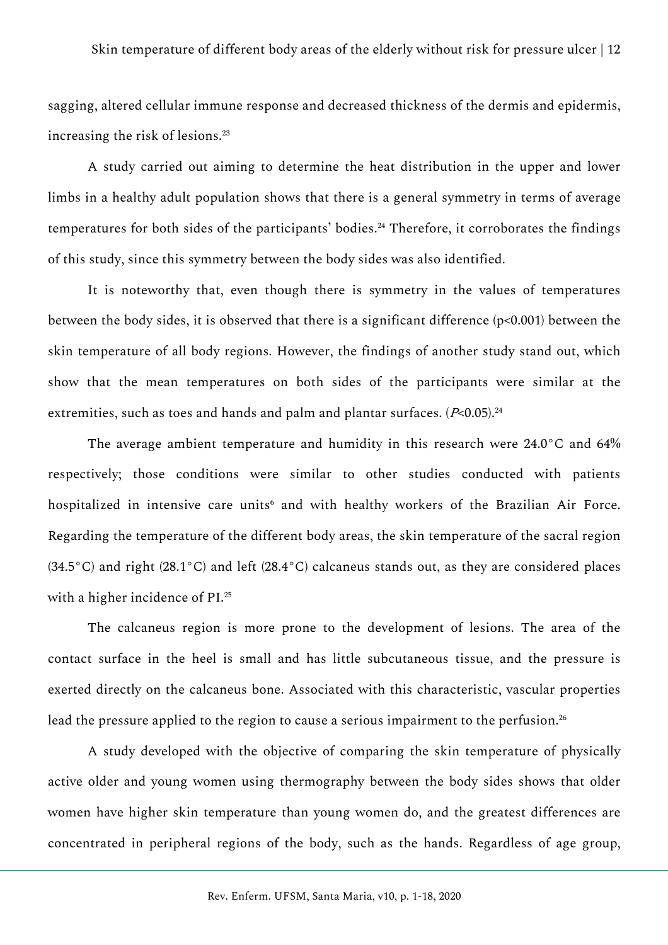sagging, altered cellular immune response and decreased thickness of the dermis and epidermis, increasing the risk of lesions.<sup>23</sup>

A study carried out aiming to determine the heat distribution in the upper and lower limbs in a healthy adult population shows that there is a general symmetry in terms of average temperatures for both sides of the participants' bodies.<sup>24</sup> Therefore, it corroborates the findings of this study, since this symmetry between the body sides was also identified.

It is noteworthy that, even though there is symmetry in the values of temperatures between the body sides, it is observed that there is a significant difference (p<0.001) between the skin temperature of all body regions. However, the findings of another study stand out, which show that the mean temperatures on both sides of the participants were similar at the extremities, such as toes and hands and palm and plantar surfaces.  $(P< 0.05)$ .<sup>24</sup>

The average ambient temperature and humidity in this research were 24.0°C and 64% respectively; those conditions were similar to other studies conducted with patients hospitalized in intensive care units<sup>6</sup> and with healthy workers of the Brazilian Air Force. Regarding the temperature of the different body areas, the skin temperature of the sacral region (34.5°C) and right (28.1°C) and left (28.4°C) calcaneus stands out, as they are considered places with a higher incidence of PI.<sup>25</sup>

The calcaneus region is more prone to the development of lesions. The area of the contact surface in the heel is small and has little subcutaneous tissue, and the pressure is exerted directly on the calcaneus bone. Associated with this characteristic, vascular properties lead the pressure applied to the region to cause a serious impairment to the perfusion.<sup>26</sup>

A study developed with the objective of comparing the skin temperature of physically active older and young women using thermography between the body sides shows that older women have higher skin temperature than young women do, and the greatest differences are concentrated in peripheral regions of the body, such as the hands. Regardless of age group,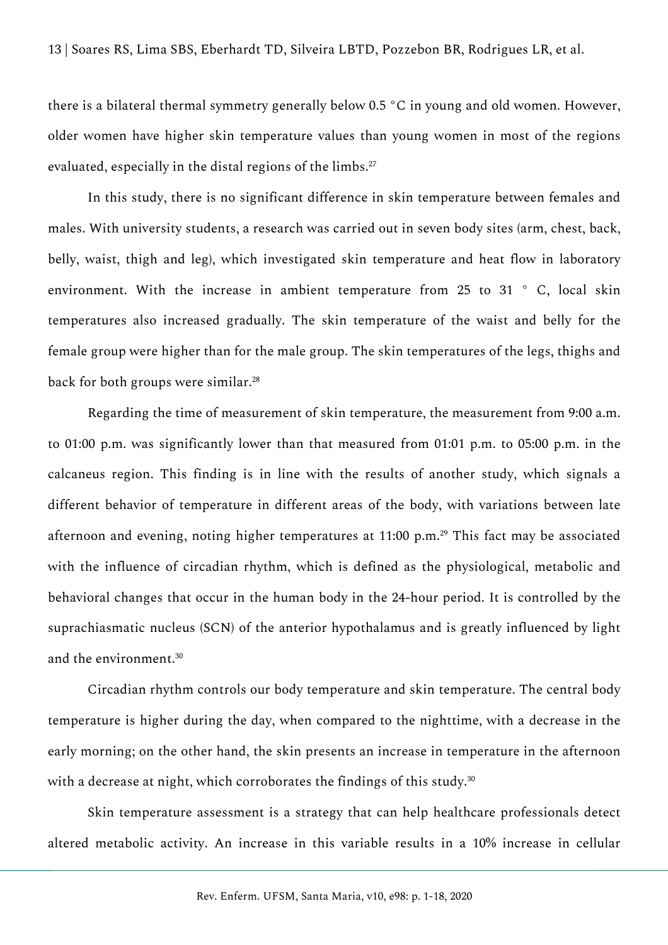there is a bilateral thermal symmetry generally below 0.5 °C in young and old women. However, older women have higher skin temperature values than young women in most of the regions evaluated, especially in the distal regions of the limbs.<sup>27</sup>

In this study, there is no significant difference in skin temperature between females and males. With university students, a research was carried out in seven body sites (arm, chest, back, belly, waist, thigh and leg), which investigated skin temperature and heat flow in laboratory environment. With the increase in ambient temperature from 25 to 31 ° C, local skin temperatures also increased gradually. The skin temperature of the waist and belly for the female group were higher than for the male group. The skin temperatures of the legs, thighs and back for both groups were similar.<sup>28</sup>

Regarding the time of measurement of skin temperature, the measurement from 9:00 a.m. to 01:00 p.m. was significantly lower than that measured from 01:01 p.m. to 05:00 p.m. in the calcaneus region. This finding is in line with the results of another study, which signals a different behavior of temperature in different areas of the body, with variations between late afternoon and evening, noting higher temperatures at 11:00 p.m.<sup>29</sup> This fact may be associated with the influence of circadian rhythm, which is defined as the physiological, metabolic and behavioral changes that occur in the human body in the 24-hour period. It is controlled by the suprachiasmatic nucleus (SCN) of the anterior hypothalamus and is greatly influenced by light and the environment.<sup>30</sup>

Circadian rhythm controls our body temperature and skin temperature. The central body temperature is higher during the day, when compared to the nighttime, with a decrease in the early morning; on the other hand, the skin presents an increase in temperature in the afternoon with a decrease at night, which corroborates the findings of this study.<sup>30</sup>

Skin temperature assessment is a strategy that can help healthcare professionals detect altered metabolic activity. An increase in this variable results in a 10% increase in cellular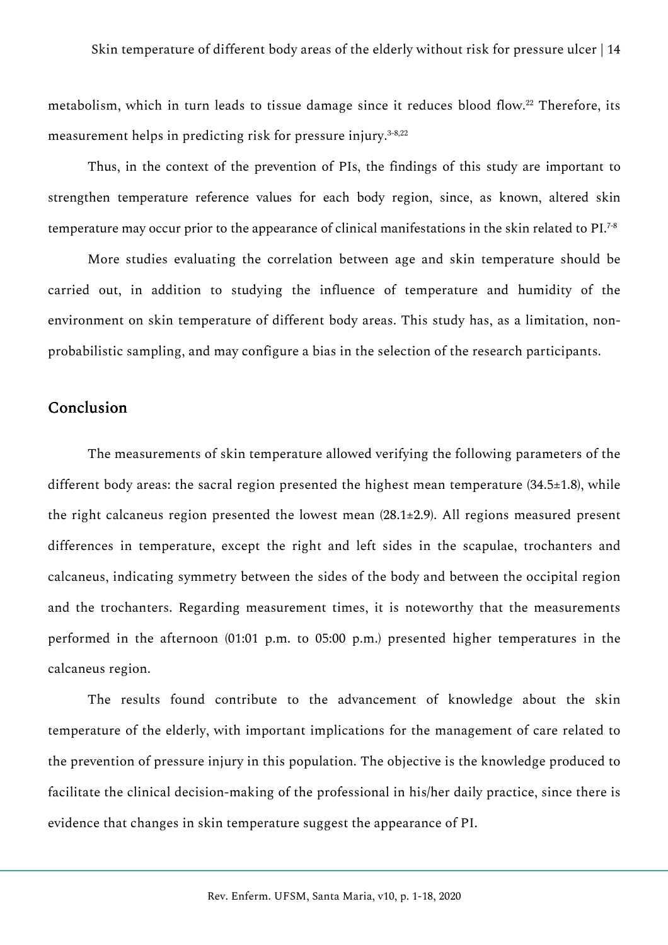metabolism, which in turn leads to tissue damage since it reduces blood flow.<sup>22</sup> Therefore, its measurement helps in predicting risk for pressure injury.<sup>3-8,22</sup>

Thus, in the context of the prevention of PIs, the findings of this study are important to strengthen temperature reference values for each body region, since, as known, altered skin temperature may occur prior to the appearance of clinical manifestations in the skin related to PI.7-8

More studies evaluating the correlation between age and skin temperature should be carried out, in addition to studying the influence of temperature and humidity of the environment on skin temperature of different body areas. This study has, as a limitation, nonprobabilistic sampling, and may configure a bias in the selection of the research participants.

## Conclusion

The measurements of skin temperature allowed verifying the following parameters of the different body areas: the sacral region presented the highest mean temperature (34.5±1.8), while the right calcaneus region presented the lowest mean (28.1±2.9). All regions measured present differences in temperature, except the right and left sides in the scapulae, trochanters and calcaneus, indicating symmetry between the sides of the body and between the occipital region and the trochanters. Regarding measurement times, it is noteworthy that the measurements performed in the afternoon (01:01 p.m. to 05:00 p.m.) presented higher temperatures in the calcaneus region.

The results found contribute to the advancement of knowledge about the skin temperature of the elderly, with important implications for the management of care related to the prevention of pressure injury in this population. The objective is the knowledge produced to facilitate the clinical decision-making of the professional in his/her daily practice, since there is evidence that changes in skin temperature suggest the appearance of PI.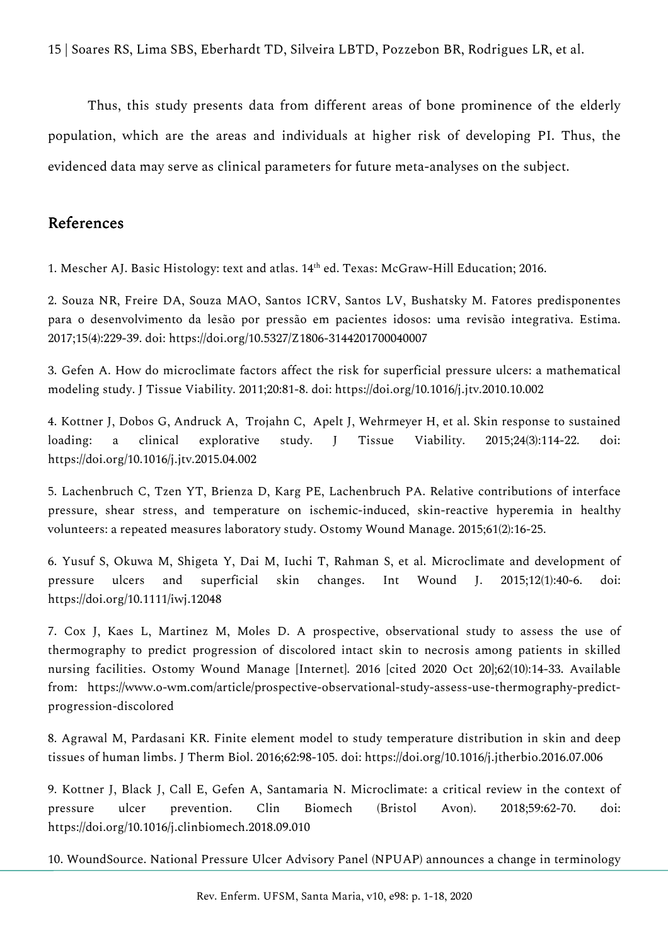Thus, this study presents data from different areas of bone prominence of the elderly population, which are the areas and individuals at higher risk of developing PI. Thus, the evidenced data may serve as clinical parameters for future meta-analyses on the subject.

# References

1. Mescher AJ. Basic Histology: text and atlas. 14<sup>th</sup> ed. Texas: McGraw-Hill Education; 2016.

2. Souza NR, Freire DA, Souza MAO, Santos ICRV, Santos LV, Bushatsky M. Fatores predisponentes para o desenvolvimento da lesão por pressão em pacientes idosos: uma revisão integrativa. Estima. 2017;15(4):229-39. doi: https://doi.org/10.5327/Z1806-3144201700040007

3. Gefen A. How do microclimate factors affect the risk for superficial pressure ulcers: a mathematical modeling study. J Tissue Viability. 2011;20:81-8. doi: https://doi.org/10.1016/j.jtv.2010.10.002

4. Kottner J, Dobos G, Andruck A, Trojahn C, Apelt J, Wehrmeyer H, et al. Skin response to sustained loading: a clinical explorative study. J Tissue Viability. 2015;24(3):114-22. doi: https://doi.org/10.1016/j.jtv.2015.04.002

5. Lachenbruch C, Tzen YT, Brienza D, Karg PE, Lachenbruch PA. Relative contributions of interface pressure, shear stress, and temperature on ischemic-induced, skin-reactive hyperemia in healthy volunteers: a repeated measures laboratory study. Ostomy Wound Manage. 2015;61(2):16-25.

6. Yusuf S, Okuwa M, Shigeta Y, Dai M, Iuchi T, Rahman S, et al. Microclimate and development of pressure ulcers and superficial skin changes. Int Wound J. 2015;12(1):40-6. doi: https://doi.org/10.1111/iwj.12048

7. Cox J, Kaes L, Martinez M, Moles D. A prospective, observational study to assess the use of thermography to predict progression of discolored intact skin to necrosis among patients in skilled nursing facilities. Ostomy Wound Manage [Internet]. 2016 [cited 2020 Oct 20];62(10):14-33. Available from: https://www.o-wm.com/article/prospective-observational-study-assess-use-thermography-predictprogression-discolored

8. Agrawal M, Pardasani KR. Finite element model to study temperature distribution in skin and deep tissues of human limbs. J Therm Biol. 2016;62:98-105. doi: https://doi.org/10.1016/j.jtherbio.2016.07.006

9. Kottner J, Black J, Call E, Gefen A, Santamaria N. Microclimate: a critical review in the context of pressure ulcer prevention. Clin Biomech (Bristol Avon). 2018;59:62-70. doi: https://doi.org/10.1016/j.clinbiomech.2018.09.010

10. WoundSource. National Pressure Ulcer Advisory Panel (NPUAP) announces a change in terminology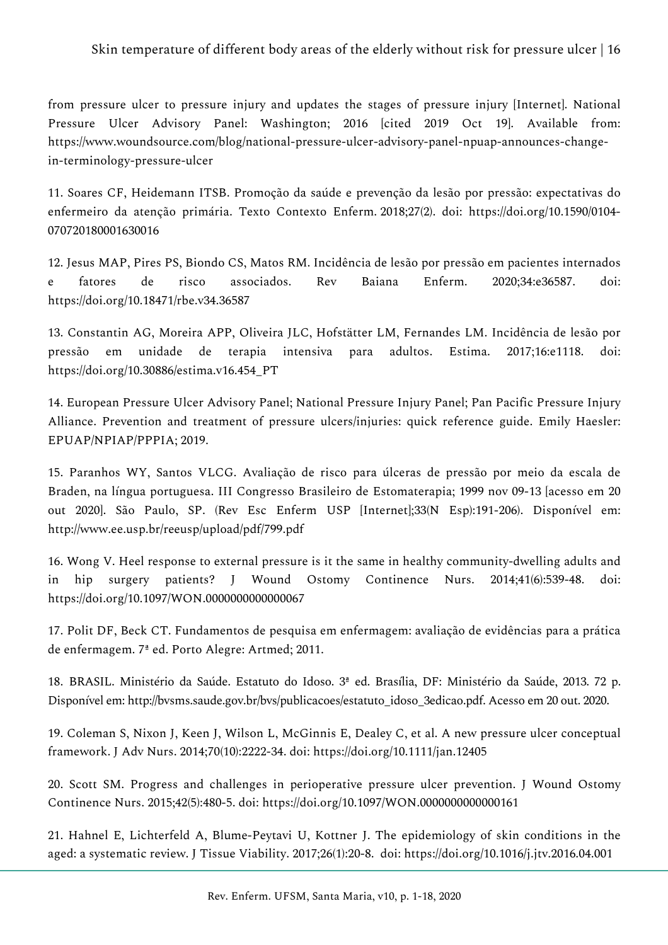## Skin temperature of different body areas of the elderly without risk for pressure ulcer | 16

from pressure ulcer to pressure injury and updates the stages of pressure injury [Internet]. National Pressure Ulcer Advisory Panel: Washington; 2016 [cited 2019 Oct 19]. Available from: https://www.woundsource.com/blog/national-pressure-ulcer-advisory-panel-npuap-announces-changein-terminology-pressure-ulcer

11. Soares CF, Heidemann ITSB. Promoção da saúde e prevenção da lesão por pressão: expectativas do enfermeiro da atenção primária. Texto Contexto Enferm. 2018;27(2). doi: https://doi.org/10.1590/0104- 070720180001630016

12. Jesus MAP, Pires PS, Biondo CS, Matos RM. Incidência de lesão por pressão em pacientes internados e fatores de risco associados. Rev Baiana Enferm. 2020;34:e36587. doi: https://doi.org/10.18471/rbe.v34.36587

13. Constantin AG, Moreira APP, Oliveira JLC, Hofstätter LM, Fernandes LM. Incidência de lesão por pressão em unidade de terapia intensiva para adultos. Estima. 2017;16:e1118. doi: https://doi.org/10.30886/estima.v16.454\_PT

14. European Pressure Ulcer Advisory Panel; National Pressure Injury Panel; Pan Pacific Pressure Injury Alliance. Prevention and treatment of pressure ulcers/injuries: quick reference guide. Emily Haesler: EPUAP/NPIAP/PPPIA; 2019.

15. Paranhos WY, Santos VLCG. Avaliação de risco para úlceras de pressão por meio da escala de Braden, na língua portuguesa. III Congresso Brasileiro de Estomaterapia; 1999 nov 09-13 [acesso em 20 out 2020]. São Paulo, SP. (Rev Esc Enferm USP [Internet];33(N Esp):191-206). Disponível em: http://www.ee.usp.br/reeusp/upload/pdf/799.pdf

16. Wong V. Heel response to external pressure is it the same in healthy community-dwelling adults and in hip surgery patients? J Wound Ostomy Continence Nurs. 2014;41(6):539-48. doi: https://doi.org/10.1097/WON.0000000000000067

17. Polit DF, Beck CT. Fundamentos de pesquisa em enfermagem: avaliação de evidências para a prática de enfermagem. 7ª ed. Porto Alegre: Artmed; 2011.

18. BRASIL. Ministério da Saúde. Estatuto do Idoso. 3ª ed. Brasília, DF: Ministério da Saúde, 2013. 72 p. Disponível em: http://bvsms.saude.gov.br/bvs/publicacoes/estatuto\_idoso\_3edicao.pdf. Acesso em 20 out. 2020.

19. Coleman S, Nixon J, Keen J, Wilson L, McGinnis E, Dealey C, et al. A new pressure ulcer conceptual framework. J Adv Nurs. 2014;70(10):2222-34. doi: https://doi.org/10.1111/jan.12405

20. Scott SM. Progress and challenges in perioperative pressure ulcer prevention. J Wound Ostomy Continence Nurs. 2015;42(5):480-5. doi: https://doi.org/10.1097/WON.0000000000000161

21. Hahnel E, Lichterfeld A, Blume-Peytavi U, Kottner J. The epidemiology of skin conditions in the aged: a systematic review. J Tissue Viability. 2017;26(1):20-8. doi: https://doi.org/10.1016/j.jtv.2016.04.001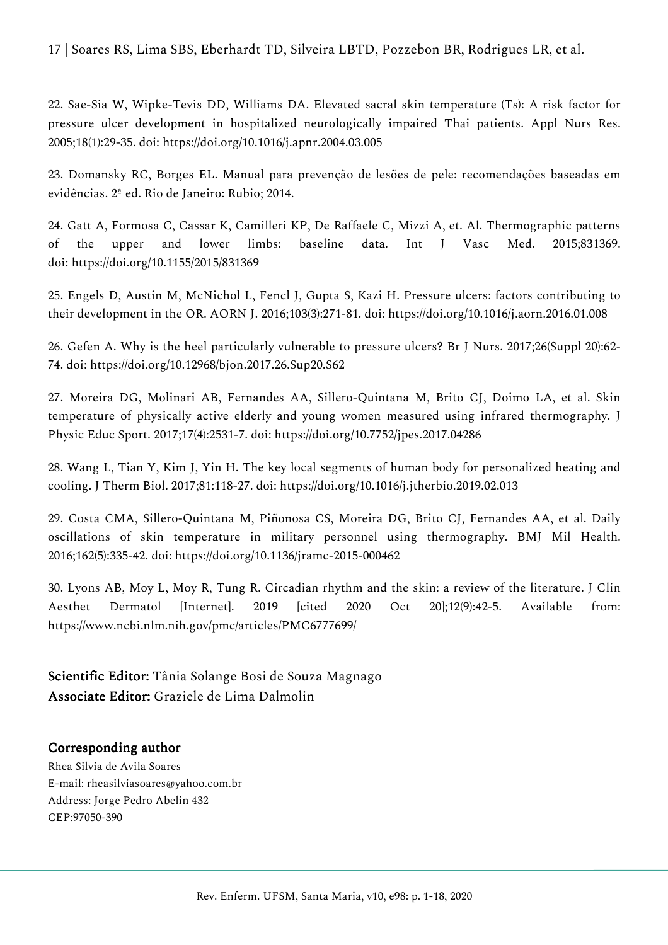## 17 | Soares RS, Lima SBS, Eberhardt TD, Silveira LBTD, Pozzebon BR, Rodrigues LR, et al.

22. Sae-Sia W, Wipke-Tevis DD, Williams DA. Elevated sacral skin temperature (Ts): A risk factor for pressure ulcer development in hospitalized neurologically impaired Thai patients. Appl Nurs Res. 2005;18(1):29-35. doi: https://doi.org/10.1016/j.apnr.2004.03.005

23. Domansky RC, Borges EL. Manual para prevenção de lesões de pele: recomendações baseadas em evidências. 2ª ed. Rio de Janeiro: Rubio; 2014.

24. Gatt A, Formosa C, Cassar K, Camilleri KP, De Raffaele C, Mizzi A, et. Al. Thermographic patterns of the upper and lower limbs: baseline data. Int J Vasc Med. 2015;831369. doi: https://doi.org/10.1155/2015/831369

25. Engels D, Austin M, McNichol L, Fencl J, Gupta S, Kazi H. Pressure ulcers: factors contributing to their development in the OR. AORN J. 2016;103(3):271-81. doi: https://doi.org/10.1016/j.aorn.2016.01.008

26. Gefen A. Why is the heel particularly vulnerable to pressure ulcers? Br J Nurs. 2017;26(Suppl 20):62- 74. doi: https://doi.org/10.12968/bjon.2017.26.Sup20.S62

27. Moreira DG, Molinari AB, Fernandes AA, Sillero-Quintana M, Brito CJ, Doimo LA, et al. Skin temperature of physically active elderly and young women measured using infrared thermography. J Physic Educ Sport. 2017;17(4):2531-7. doi: https://doi.org/10.7752/jpes.2017.04286

28. Wang L, Tian Y, Kim J, Yin H. The key local segments of human body for personalized heating and cooling. J Therm Biol. 2017;81:118-27. doi: https://doi.org/10.1016/j.jtherbio.2019.02.013

29. Costa CMA, Sillero-Quintana M, Piñonosa CS, Moreira DG, Brito CJ, Fernandes AA, et al. Daily oscillations of skin temperature in military personnel using thermography. BMJ Mil Health. 2016;162(5):335-42. doi: https://doi.org/10.1136/jramc-2015-000462

30. Lyons AB, Moy L, Moy R, Tung R. Circadian rhythm and the skin: a review of the literature. J Clin Aesthet Dermatol [Internet]. 2019 [cited 2020 Oct 20];12(9):42-5. Available from: https://www.ncbi.nlm.nih.gov/pmc/articles/PMC6777699/

Scientific Editor: Tânia Solange Bosi de Souza Magnago Associate Editor: Graziele de Lima Dalmolin

## Corresponding author

Rhea Silvia de Avila Soares E-mail: rheasilviasoares@yahoo.com.br Address: Jorge Pedro Abelin 432 CEP:97050-390